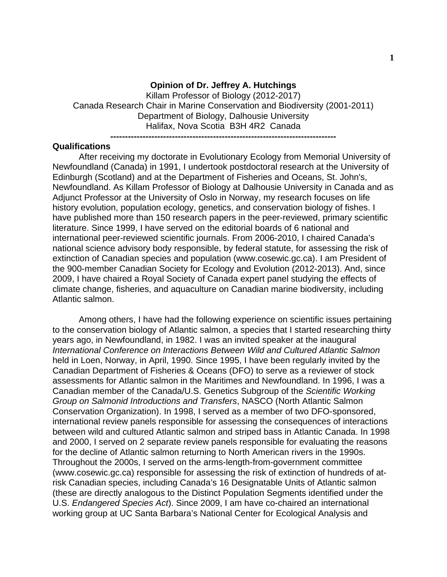## **Opinion of Dr. Jeffrey A. Hutchings**

Killam Professor of Biology (2012-2017) Canada Research Chair in Marine Conservation and Biodiversity (2001-2011) Department of Biology, Dalhousie University Halifax, Nova Scotia B3H 4R2 Canada

#### **-----------------------------------------------------------------------------**

### **Qualifications**

After receiving my doctorate in Evolutionary Ecology from Memorial University of Newfoundland (Canada) in 1991, I undertook postdoctoral research at the University of Edinburgh (Scotland) and at the Department of Fisheries and Oceans, St. John's, Newfoundland. As Killam Professor of Biology at Dalhousie University in Canada and as Adjunct Professor at the University of Oslo in Norway, my research focuses on life history evolution, population ecology, genetics, and conservation biology of fishes. I have published more than 150 research papers in the peer-reviewed, primary scientific literature. Since 1999, I have served on the editorial boards of 6 national and international peer-reviewed scientific journals. From 2006-2010, I chaired Canada's national science advisory body responsible, by federal statute, for assessing the risk of extinction of Canadian species and population (www.cosewic.gc.ca). I am President of the 900-member Canadian Society for Ecology and Evolution (2012-2013). And, since 2009, I have chaired a Royal Society of Canada expert panel studying the effects of climate change, fisheries, and aquaculture on Canadian marine biodiversity, including Atlantic salmon.

Among others, I have had the following experience on scientific issues pertaining to the conservation biology of Atlantic salmon, a species that I started researching thirty years ago, in Newfoundland, in 1982. I was an invited speaker at the inaugural *International Conference on Interactions Between Wild and Cultured Atlantic Salmon* held in Loen, Norway, in April, 1990. Since 1995, I have been regularly invited by the Canadian Department of Fisheries & Oceans (DFO) to serve as a reviewer of stock assessments for Atlantic salmon in the Maritimes and Newfoundland. In 1996, I was a Canadian member of the Canada/U.S. Genetics Subgroup of the *Scientific Working Group on Salmonid Introductions and Transfers*, NASCO (North Atlantic Salmon Conservation Organization). In 1998, I served as a member of two DFO-sponsored, international review panels responsible for assessing the consequences of interactions between wild and cultured Atlantic salmon and striped bass in Atlantic Canada. In 1998 and 2000, I served on 2 separate review panels responsible for evaluating the reasons for the decline of Atlantic salmon returning to North American rivers in the 1990s. Throughout the 2000s, I served on the arms-length-from-government committee (www.cosewic.gc.ca) responsible for assessing the risk of extinction of hundreds of atrisk Canadian species, including Canada's 16 Designatable Units of Atlantic salmon (these are directly analogous to the Distinct Population Segments identified under the U.S. *Endangered Species Act*). Since 2009, I am have co-chaired an international working group at UC Santa Barbara's National Center for Ecological Analysis and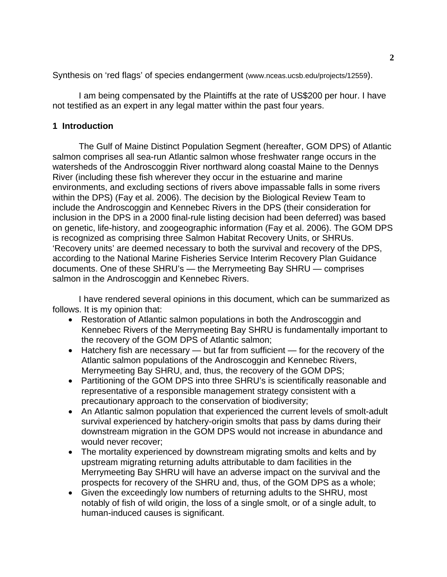Synthesis on 'red flags' of species endangerment (www.nceas.ucsb.edu/projects/12559).

I am being compensated by the Plaintiffs at the rate of US\$200 per hour. I have not testified as an expert in any legal matter within the past four years.

# **1 Introduction**

The Gulf of Maine Distinct Population Segment (hereafter, GOM DPS) of Atlantic salmon comprises all sea-run Atlantic salmon whose freshwater range occurs in the watersheds of the Androscoggin River northward along coastal Maine to the Dennys River (including these fish wherever they occur in the estuarine and marine environments, and excluding sections of rivers above impassable falls in some rivers within the DPS) (Fay et al. 2006). The decision by the Biological Review Team to include the Androscoggin and Kennebec Rivers in the DPS (their consideration for inclusion in the DPS in a 2000 final-rule listing decision had been deferred) was based on genetic, life-history, and zoogeographic information (Fay et al. 2006). The GOM DPS is recognized as comprising three Salmon Habitat Recovery Units, or SHRUs. 'Recovery units' are deemed necessary to both the survival and recovery of the DPS, according to the National Marine Fisheries Service Interim Recovery Plan Guidance documents. One of these SHRU's — the Merrymeeting Bay SHRU — comprises salmon in the Androscoggin and Kennebec Rivers.

I have rendered several opinions in this document, which can be summarized as follows. It is my opinion that:

- Restoration of Atlantic salmon populations in both the Androscoggin and Kennebec Rivers of the Merrymeeting Bay SHRU is fundamentally important to the recovery of the GOM DPS of Atlantic salmon;
- Hatchery fish are necessary but far from sufficient for the recovery of the Atlantic salmon populations of the Androscoggin and Kennebec Rivers, Merrymeeting Bay SHRU, and, thus, the recovery of the GOM DPS;
- Partitioning of the GOM DPS into three SHRU's is scientifically reasonable and representative of a responsible management strategy consistent with a precautionary approach to the conservation of biodiversity;
- An Atlantic salmon population that experienced the current levels of smolt-adult survival experienced by hatchery-origin smolts that pass by dams during their downstream migration in the GOM DPS would not increase in abundance and would never recover;
- The mortality experienced by downstream migrating smolts and kelts and by upstream migrating returning adults attributable to dam facilities in the Merrymeeting Bay SHRU will have an adverse impact on the survival and the prospects for recovery of the SHRU and, thus, of the GOM DPS as a whole;
- Given the exceedingly low numbers of returning adults to the SHRU, most notably of fish of wild origin, the loss of a single smolt, or of a single adult, to human-induced causes is significant.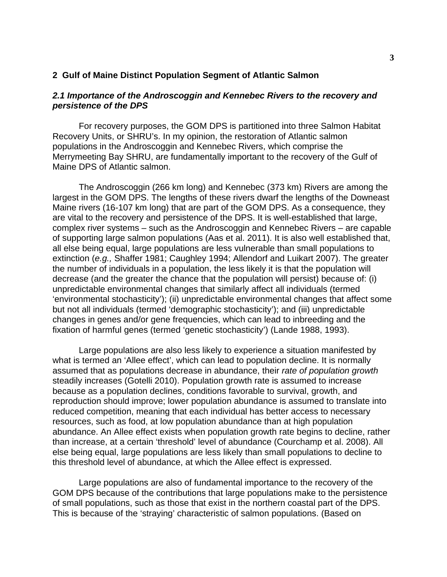## **2 Gulf of Maine Distinct Population Segment of Atlantic Salmon**

## *2.1 Importance of the Androscoggin and Kennebec Rivers to the recovery and persistence of the DPS*

For recovery purposes, the GOM DPS is partitioned into three Salmon Habitat Recovery Units, or SHRU's. In my opinion, the restoration of Atlantic salmon populations in the Androscoggin and Kennebec Rivers, which comprise the Merrymeeting Bay SHRU, are fundamentally important to the recovery of the Gulf of Maine DPS of Atlantic salmon.

The Androscoggin (266 km long) and Kennebec (373 km) Rivers are among the largest in the GOM DPS. The lengths of these rivers dwarf the lengths of the Downeast Maine rivers (16-107 km long) that are part of the GOM DPS. As a consequence, they are vital to the recovery and persistence of the DPS. It is well-established that large, complex river systems – such as the Androscoggin and Kennebec Rivers – are capable of supporting large salmon populations (Aas et al. 2011). It is also well established that, all else being equal, large populations are less vulnerable than small populations to extinction (*e.g.,* Shaffer 1981; Caughley 1994; Allendorf and Luikart 2007). The greater the number of individuals in a population, the less likely it is that the population will decrease (and the greater the chance that the population will persist) because of: (i) unpredictable environmental changes that similarly affect all individuals (termed 'environmental stochasticity'); (ii) unpredictable environmental changes that affect some but not all individuals (termed 'demographic stochasticity'); and (iii) unpredictable changes in genes and/or gene frequencies, which can lead to inbreeding and the fixation of harmful genes (termed 'genetic stochasticity') (Lande 1988, 1993).

Large populations are also less likely to experience a situation manifested by what is termed an 'Allee effect', which can lead to population decline. It is normally assumed that as populations decrease in abundance, their *rate of population growth*  steadily increases (Gotelli 2010). Population growth rate is assumed to increase because as a population declines, conditions favorable to survival, growth, and reproduction should improve; lower population abundance is assumed to translate into reduced competition, meaning that each individual has better access to necessary resources, such as food, at low population abundance than at high population abundance. An Allee effect exists when population growth rate begins to decline, rather than increase, at a certain 'threshold' level of abundance (Courchamp et al. 2008). All else being equal, large populations are less likely than small populations to decline to this threshold level of abundance, at which the Allee effect is expressed.

Large populations are also of fundamental importance to the recovery of the GOM DPS because of the contributions that large populations make to the persistence of small populations, such as those that exist in the northern coastal part of the DPS. This is because of the 'straying' characteristic of salmon populations. (Based on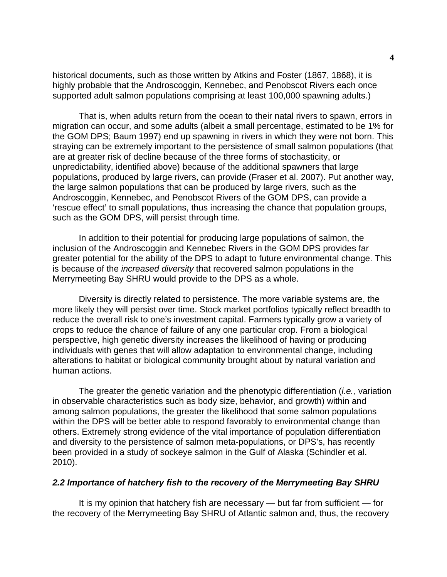historical documents, such as those written by Atkins and Foster (1867, 1868), it is highly probable that the Androscoggin, Kennebec, and Penobscot Rivers each once supported adult salmon populations comprising at least 100,000 spawning adults.)

That is, when adults return from the ocean to their natal rivers to spawn, errors in migration can occur, and some adults (albeit a small percentage, estimated to be 1% for the GOM DPS; Baum 1997) end up spawning in rivers in which they were not born. This straying can be extremely important to the persistence of small salmon populations (that are at greater risk of decline because of the three forms of stochasticity, or unpredictability, identified above) because of the additional spawners that large populations, produced by large rivers, can provide (Fraser et al. 2007). Put another way, the large salmon populations that can be produced by large rivers, such as the Androscoggin, Kennebec, and Penobscot Rivers of the GOM DPS, can provide a 'rescue effect' to small populations, thus increasing the chance that population groups, such as the GOM DPS, will persist through time.

In addition to their potential for producing large populations of salmon, the inclusion of the Androscoggin and Kennebec Rivers in the GOM DPS provides far greater potential for the ability of the DPS to adapt to future environmental change. This is because of the *increased diversity* that recovered salmon populations in the Merrymeeting Bay SHRU would provide to the DPS as a whole.

Diversity is directly related to persistence. The more variable systems are, the more likely they will persist over time. Stock market portfolios typically reflect breadth to reduce the overall risk to one's investment capital. Farmers typically grow a variety of crops to reduce the chance of failure of any one particular crop. From a biological perspective, high genetic diversity increases the likelihood of having or producing individuals with genes that will allow adaptation to environmental change, including alterations to habitat or biological community brought about by natural variation and human actions.

The greater the genetic variation and the phenotypic differentiation (*i.e.,* variation in observable characteristics such as body size, behavior, and growth) within and among salmon populations, the greater the likelihood that some salmon populations within the DPS will be better able to respond favorably to environmental change than others. Extremely strong evidence of the vital importance of population differentiation and diversity to the persistence of salmon meta-populations, or DPS's, has recently been provided in a study of sockeye salmon in the Gulf of Alaska (Schindler et al. 2010).

### *2.2 Importance of hatchery fish to the recovery of the Merrymeeting Bay SHRU*

It is my opinion that hatchery fish are necessary — but far from sufficient — for the recovery of the Merrymeeting Bay SHRU of Atlantic salmon and, thus, the recovery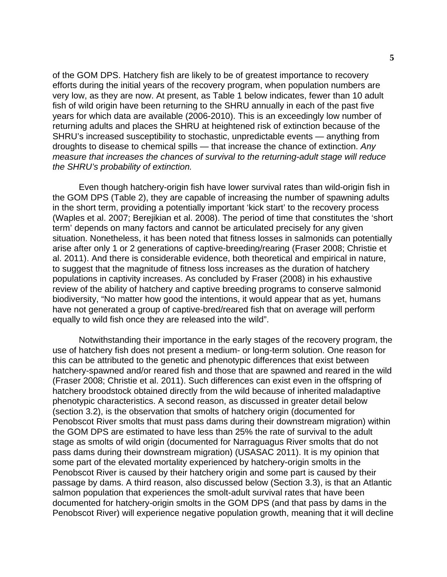of the GOM DPS. Hatchery fish are likely to be of greatest importance to recovery efforts during the initial years of the recovery program, when population numbers are very low, as they are now. At present, as Table 1 below indicates, fewer than 10 adult fish of wild origin have been returning to the SHRU annually in each of the past five years for which data are available (2006-2010). This is an exceedingly low number of returning adults and places the SHRU at heightened risk of extinction because of the SHRU's increased susceptibility to stochastic, unpredictable events — anything from droughts to disease to chemical spills — that increase the chance of extinction. *Any measure that increases the chances of survival to the returning-adult stage will reduce the SHRU's probability of extinction.*

Even though hatchery-origin fish have lower survival rates than wild-origin fish in the GOM DPS (Table 2), they are capable of increasing the number of spawning adults in the short term, providing a potentially important 'kick start' to the recovery process (Waples et al. 2007; Berejikian et al. 2008). The period of time that constitutes the 'short term' depends on many factors and cannot be articulated precisely for any given situation. Nonetheless, it has been noted that fitness losses in salmonids can potentially arise after only 1 or 2 generations of captive-breeding/rearing (Fraser 2008; Christie et al. 2011). And there is considerable evidence, both theoretical and empirical in nature, to suggest that the magnitude of fitness loss increases as the duration of hatchery populations in captivity increases. As concluded by Fraser (2008) in his exhaustive review of the ability of hatchery and captive breeding programs to conserve salmonid biodiversity, "No matter how good the intentions, it would appear that as yet, humans have not generated a group of captive-bred/reared fish that on average will perform equally to wild fish once they are released into the wild".

Notwithstanding their importance in the early stages of the recovery program, the use of hatchery fish does not present a medium- or long-term solution. One reason for this can be attributed to the genetic and phenotypic differences that exist between hatchery-spawned and/or reared fish and those that are spawned and reared in the wild (Fraser 2008; Christie et al. 2011). Such differences can exist even in the offspring of hatchery broodstock obtained directly from the wild because of inherited maladaptive phenotypic characteristics. A second reason, as discussed in greater detail below (section 3.2), is the observation that smolts of hatchery origin (documented for Penobscot River smolts that must pass dams during their downstream migration) within the GOM DPS are estimated to have less than 25% the rate of survival to the adult stage as smolts of wild origin (documented for Narraguagus River smolts that do not pass dams during their downstream migration) (USASAC 2011). It is my opinion that some part of the elevated mortality experienced by hatchery-origin smolts in the Penobscot River is caused by their hatchery origin and some part is caused by their passage by dams. A third reason, also discussed below (Section 3.3), is that an Atlantic salmon population that experiences the smolt-adult survival rates that have been documented for hatchery-origin smolts in the GOM DPS (and that pass by dams in the Penobscot River) will experience negative population growth, meaning that it will decline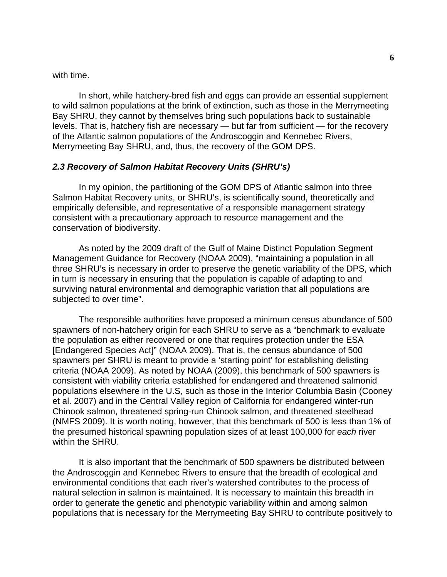with time.

In short, while hatchery-bred fish and eggs can provide an essential supplement to wild salmon populations at the brink of extinction, such as those in the Merrymeeting Bay SHRU, they cannot by themselves bring such populations back to sustainable levels. That is, hatchery fish are necessary — but far from sufficient — for the recovery of the Atlantic salmon populations of the Androscoggin and Kennebec Rivers, Merrymeeting Bay SHRU, and, thus, the recovery of the GOM DPS.

## *2.3 Recovery of Salmon Habitat Recovery Units (SHRU's)*

In my opinion, the partitioning of the GOM DPS of Atlantic salmon into three Salmon Habitat Recovery units, or SHRU's, is scientifically sound, theoretically and empirically defensible, and representative of a responsible management strategy consistent with a precautionary approach to resource management and the conservation of biodiversity.

As noted by the 2009 draft of the Gulf of Maine Distinct Population Segment Management Guidance for Recovery (NOAA 2009), "maintaining a population in all three SHRU's is necessary in order to preserve the genetic variability of the DPS, which in turn is necessary in ensuring that the population is capable of adapting to and surviving natural environmental and demographic variation that all populations are subjected to over time".

The responsible authorities have proposed a minimum census abundance of 500 spawners of non-hatchery origin for each SHRU to serve as a "benchmark to evaluate the population as either recovered or one that requires protection under the ESA [Endangered Species Act]" (NOAA 2009). That is, the census abundance of 500 spawners per SHRU is meant to provide a 'starting point' for establishing delisting criteria (NOAA 2009). As noted by NOAA (2009), this benchmark of 500 spawners is consistent with viability criteria established for endangered and threatened salmonid populations elsewhere in the U.S, such as those in the Interior Columbia Basin (Cooney et al. 2007) and in the Central Valley region of California for endangered winter-run Chinook salmon, threatened spring-run Chinook salmon, and threatened steelhead (NMFS 2009). It is worth noting, however, that this benchmark of 500 is less than 1% of the presumed historical spawning population sizes of at least 100,000 for *each* river within the SHRU.

It is also important that the benchmark of 500 spawners be distributed between the Androscoggin and Kennebec Rivers to ensure that the breadth of ecological and environmental conditions that each river's watershed contributes to the process of natural selection in salmon is maintained. It is necessary to maintain this breadth in order to generate the genetic and phenotypic variability within and among salmon populations that is necessary for the Merrymeeting Bay SHRU to contribute positively to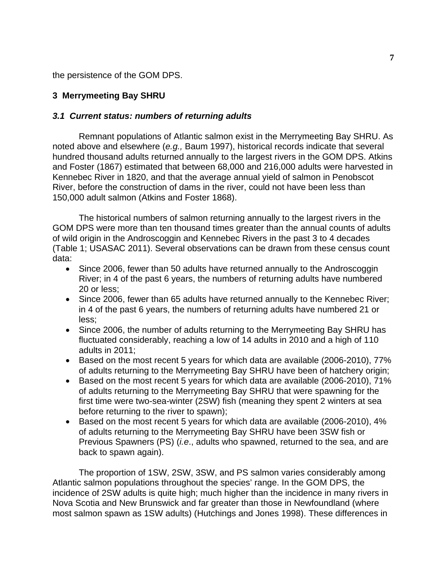the persistence of the GOM DPS.

# **3 Merrymeeting Bay SHRU**

## *3.1 Current status: numbers of returning adults*

Remnant populations of Atlantic salmon exist in the Merrymeeting Bay SHRU. As noted above and elsewhere (*e.g.,* Baum 1997), historical records indicate that several hundred thousand adults returned annually to the largest rivers in the GOM DPS. Atkins and Foster (1867) estimated that between 68,000 and 216,000 adults were harvested in Kennebec River in 1820, and that the average annual yield of salmon in Penobscot River, before the construction of dams in the river, could not have been less than 150,000 adult salmon (Atkins and Foster 1868).

The historical numbers of salmon returning annually to the largest rivers in the GOM DPS were more than ten thousand times greater than the annual counts of adults of wild origin in the Androscoggin and Kennebec Rivers in the past 3 to 4 decades (Table 1; USASAC 2011). Several observations can be drawn from these census count data:

- Since 2006, fewer than 50 adults have returned annually to the Androscoggin River; in 4 of the past 6 years, the numbers of returning adults have numbered 20 or less;
- Since 2006, fewer than 65 adults have returned annually to the Kennebec River; in 4 of the past 6 years, the numbers of returning adults have numbered 21 or less;
- Since 2006, the number of adults returning to the Merrymeeting Bay SHRU has fluctuated considerably, reaching a low of 14 adults in 2010 and a high of 110 adults in 2011;
- Based on the most recent 5 years for which data are available (2006-2010), 77% of adults returning to the Merrymeeting Bay SHRU have been of hatchery origin;
- Based on the most recent 5 years for which data are available (2006-2010), 71% of adults returning to the Merrymeeting Bay SHRU that were spawning for the first time were two-sea-winter (2SW) fish (meaning they spent 2 winters at sea before returning to the river to spawn);
- Based on the most recent 5 years for which data are available (2006-2010), 4% of adults returning to the Merrymeeting Bay SHRU have been 3SW fish or Previous Spawners (PS) (*i.e*., adults who spawned, returned to the sea, and are back to spawn again).

The proportion of 1SW, 2SW, 3SW, and PS salmon varies considerably among Atlantic salmon populations throughout the species' range. In the GOM DPS, the incidence of 2SW adults is quite high; much higher than the incidence in many rivers in Nova Scotia and New Brunswick and far greater than those in Newfoundland (where most salmon spawn as 1SW adults) (Hutchings and Jones 1998). These differences in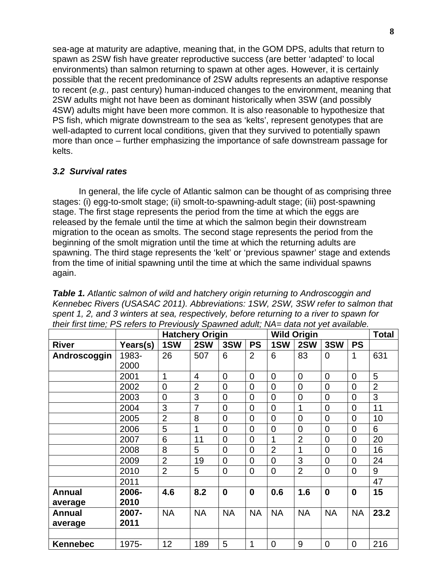sea-age at maturity are adaptive, meaning that, in the GOM DPS, adults that return to spawn as 2SW fish have greater reproductive success (are better 'adapted' to local environments) than salmon returning to spawn at other ages. However, it is certainly possible that the recent predominance of 2SW adults represents an adaptive response to recent (*e.g.,* past century) human-induced changes to the environment, meaning that 2SW adults might not have been as dominant historically when 3SW (and possibly 4SW) adults might have been more common. It is also reasonable to hypothesize that PS fish, which migrate downstream to the sea as 'kelts', represent genotypes that are well-adapted to current local conditions, given that they survived to potentially spawn more than once – further emphasizing the importance of safe downstream passage for kelts.

## *3.2 Survival rates*

In general, the life cycle of Atlantic salmon can be thought of as comprising three stages: (i) egg-to-smolt stage; (ii) smolt-to-spawning-adult stage; (iii) post-spawning stage. The first stage represents the period from the time at which the eggs are released by the female until the time at which the salmon begin their downstream migration to the ocean as smolts. The second stage represents the period from the beginning of the smolt migration until the time at which the returning adults are spawning. The third stage represents the 'kelt' or 'previous spawner' stage and extends from the time of initial spawning until the time at which the same individual spawns again.

|                 |          |                | <b>Hatchery Origin</b> |                |                |                | <b>Wild Origin</b> |                |                |                |
|-----------------|----------|----------------|------------------------|----------------|----------------|----------------|--------------------|----------------|----------------|----------------|
| <b>River</b>    | Years(s) | 1SW            | 2SW                    | 3SW            | <b>PS</b>      | 1SW            | 2SW                | 3SW            | <b>PS</b>      |                |
| Androscoggin    | 1983-    | 26             | 507                    | 6              | $\overline{2}$ | 6              | 83                 | $\Omega$       | $\mathbf{1}$   | 631            |
|                 | 2000     |                |                        |                |                |                |                    |                |                |                |
|                 | 2001     | 1              | 4                      | $\overline{0}$ | $\overline{0}$ | $\overline{0}$ | $\overline{0}$     | $\overline{0}$ | 0              | 5              |
|                 | 2002     | $\overline{0}$ | $\overline{2}$         | $\overline{0}$ | $\overline{0}$ | $\overline{0}$ | $\overline{0}$     | $\overline{0}$ | $\overline{0}$ | $\overline{2}$ |
|                 | 2003     | $\overline{0}$ | 3                      | $\overline{0}$ | $\overline{0}$ | $\overline{0}$ | $\overline{0}$     | $\overline{0}$ | $\overline{0}$ | 3              |
|                 | 2004     | 3              | $\overline{7}$         | $\overline{0}$ | $\overline{0}$ | $\overline{0}$ | 1                  | $\overline{0}$ | $\overline{0}$ | 11             |
|                 | 2005     | $\overline{2}$ | 8                      | $\overline{0}$ | $\overline{0}$ | $\overline{0}$ | $\overline{0}$     | $\overline{0}$ | $\overline{0}$ | 10             |
|                 | 2006     | 5              | 1                      | $\overline{0}$ | $\overline{0}$ | $\overline{0}$ | $\overline{0}$     | $\overline{0}$ | $\overline{0}$ | 6              |
|                 | 2007     | 6              | 11                     | $\overline{0}$ | $\overline{0}$ | 1              | $\overline{2}$     | $\Omega$       | $\overline{0}$ | 20             |
|                 | 2008     | 8              | 5                      | $\overline{0}$ | $\overline{0}$ | $\overline{2}$ | 1                  | $\overline{0}$ | 0              | 16             |
|                 | 2009     | $\overline{2}$ | 19                     | $\overline{0}$ | $\overline{0}$ | $\overline{0}$ | 3                  | $\overline{0}$ | $\overline{0}$ | 24             |
|                 | 2010     | $\overline{2}$ | 5                      | $\overline{0}$ | $\overline{0}$ | $\overline{0}$ | $\overline{2}$     | $\overline{0}$ | $\overline{0}$ | 9              |
|                 | 2011     |                |                        |                |                |                |                    |                |                | 47             |
| <b>Annual</b>   | 2006-    | 4.6            | 8.2                    | $\mathbf 0$    | $\bf{0}$       | 0.6            | 1.6                | $\mathbf 0$    | $\mathbf 0$    | 15             |
| average         | 2010     |                |                        |                |                |                |                    |                |                |                |
| <b>Annual</b>   | 2007-    | <b>NA</b>      | <b>NA</b>              | <b>NA</b>      | <b>NA</b>      | <b>NA</b>      | <b>NA</b>          | <b>NA</b>      | <b>NA</b>      | 23.2           |
| average         | 2011     |                |                        |                |                |                |                    |                |                |                |
|                 |          |                |                        |                |                |                |                    |                |                |                |
| <b>Kennebec</b> | 1975-    | 12             | 189                    | 5              | 1              | $\overline{0}$ | 9                  | $\overline{0}$ | 0              | 216            |

*Table 1. Atlantic salmon of wild and hatchery origin returning to Androscoggin and Kennebec Rivers (USASAC 2011). Abbreviations: 1SW, 2SW, 3SW refer to salmon that spent 1, 2, and 3 winters at sea, respectively, before returning to a river to spawn for their first time; PS refers to Previously Spawned adult; NA= data not yet available.*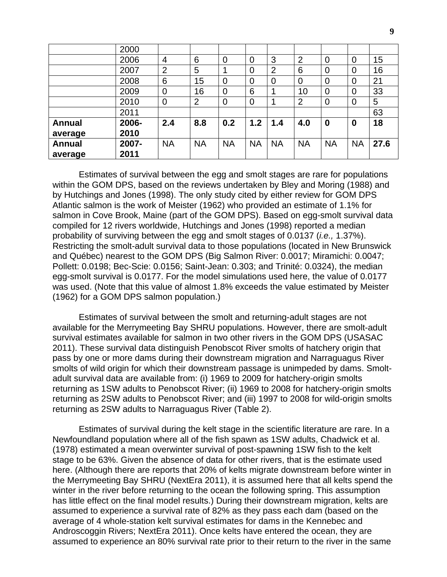|               | 2000  |                |                |                |           |                |                |                |                |      |
|---------------|-------|----------------|----------------|----------------|-----------|----------------|----------------|----------------|----------------|------|
|               | 2006  | $\overline{4}$ | 6              | $\overline{0}$ | 0         | 3              | $\overline{2}$ | $\overline{0}$ | $\overline{0}$ | 15   |
|               | 2007  | $\overline{2}$ | 5              |                | 0         | $\overline{2}$ | 6              | $\overline{0}$ | 0              | 16   |
|               | 2008  | 6              | 15             | $\overline{0}$ | 0         | $\mathbf 0$    | $\overline{0}$ | $\overline{0}$ | 0              | 21   |
|               | 2009  | $\overline{0}$ | 16             | $\overline{0}$ | 6         |                | 10             | $\overline{0}$ | $\overline{0}$ | 33   |
|               | 2010  | $\overline{0}$ | $\overline{2}$ | $\overline{0}$ | 0         |                | $\overline{2}$ | $\overline{0}$ | $\overline{0}$ | 5    |
|               | 2011  |                |                |                |           |                |                |                |                | 63   |
| <b>Annual</b> | 2006- | 2.4            | 8.8            | 0.2            | 1.2       | 1.4            | 4.0            | $\bf{0}$       | 0              | 18   |
| average       | 2010  |                |                |                |           |                |                |                |                |      |
| <b>Annual</b> | 2007- | <b>NA</b>      | <b>NA</b>      | <b>NA</b>      | <b>NA</b> | <b>NA</b>      | <b>NA</b>      | <b>NA</b>      | <b>NA</b>      | 27.6 |
| average       | 2011  |                |                |                |           |                |                |                |                |      |

Estimates of survival between the egg and smolt stages are rare for populations within the GOM DPS, based on the reviews undertaken by Bley and Moring (1988) and by Hutchings and Jones (1998). The only study cited by either review for GOM DPS Atlantic salmon is the work of Meister (1962) who provided an estimate of 1.1% for salmon in Cove Brook, Maine (part of the GOM DPS). Based on egg-smolt survival data compiled for 12 rivers worldwide, Hutchings and Jones (1998) reported a median probability of surviving between the egg and smolt stages of 0.0137 (*i.e.,* 1.37%). Restricting the smolt-adult survival data to those populations (located in New Brunswick and Québec) nearest to the GOM DPS (Big Salmon River: 0.0017; Miramichi: 0.0047; Pollett: 0.0198; Bec-Scie: 0.0156; Saint-Jean: 0.303; and Trinité: 0.0324), the median egg-smolt survival is 0.0177. For the model simulations used here, the value of 0.0177 was used. (Note that this value of almost 1.8% exceeds the value estimated by Meister (1962) for a GOM DPS salmon population.)

Estimates of survival between the smolt and returning-adult stages are not available for the Merrymeeting Bay SHRU populations. However, there are smolt-adult survival estimates available for salmon in two other rivers in the GOM DPS (USASAC 2011). These survival data distinguish Penobscot River smolts of hatchery origin that pass by one or more dams during their downstream migration and Narraguagus River smolts of wild origin for which their downstream passage is unimpeded by dams. Smoltadult survival data are available from: (i) 1969 to 2009 for hatchery-origin smolts returning as 1SW adults to Penobscot River; (ii) 1969 to 2008 for hatchery-origin smolts returning as 2SW adults to Penobscot River; and (iii) 1997 to 2008 for wild-origin smolts returning as 2SW adults to Narraguagus River (Table 2).

Estimates of survival during the kelt stage in the scientific literature are rare. In a Newfoundland population where all of the fish spawn as 1SW adults, Chadwick et al. (1978) estimated a mean overwinter survival of post-spawning 1SW fish to the kelt stage to be 63%. Given the absence of data for other rivers, that is the estimate used here. (Although there are reports that 20% of kelts migrate downstream before winter in the Merrymeeting Bay SHRU (NextEra 2011), it is assumed here that all kelts spend the winter in the river before returning to the ocean the following spring. This assumption has little effect on the final model results.) During their downstream migration, kelts are assumed to experience a survival rate of 82% as they pass each dam (based on the average of 4 whole-station kelt survival estimates for dams in the Kennebec and Androscoggin Rivers; NextEra 2011). Once kelts have entered the ocean, they are assumed to experience an 80% survival rate prior to their return to the river in the same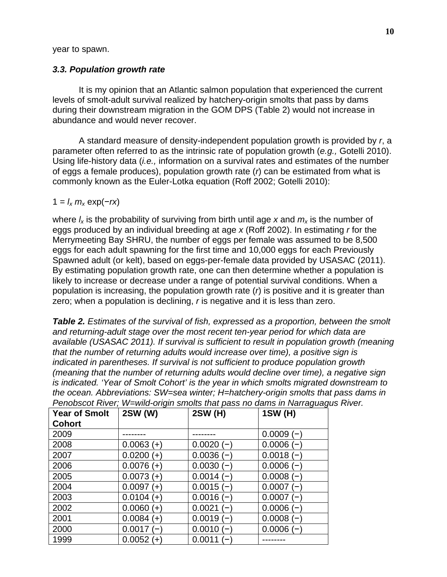year to spawn.

# *3.3. Population growth rate*

It is my opinion that an Atlantic salmon population that experienced the current levels of smolt-adult survival realized by hatchery-origin smolts that pass by dams during their downstream migration in the GOM DPS (Table 2) would not increase in abundance and would never recover.

A standard measure of density-independent population growth is provided by *r*, a parameter often referred to as the intrinsic rate of population growth (*e.g.,* Gotelli 2010). Using life-history data (*i.e.,* information on a survival rates and estimates of the number of eggs a female produces), population growth rate (*r*) can be estimated from what is commonly known as the Euler-Lotka equation (Roff 2002; Gotelli 2010):

# $1 = l_x m_x \exp(-rx)$

where  $I_x$  is the probability of surviving from birth until age x and  $m_x$  is the number of eggs produced by an individual breeding at age *x* (Roff 2002). In estimating *r* for the Merrymeeting Bay SHRU, the number of eggs per female was assumed to be 8,500 eggs for each adult spawning for the first time and 10,000 eggs for each Previously Spawned adult (or kelt), based on eggs-per-female data provided by USASAC (2011). By estimating population growth rate, one can then determine whether a population is likely to increase or decrease under a range of potential survival conditions. When a population is increasing, the population growth rate  $(r)$  is positive and it is greater than zero; when a population is declining, *r* is negative and it is less than zero.

*Table 2. Estimates of the survival of fish, expressed as a proportion, between the smolt and returning-adult stage over the most recent ten-year period for which data are available (USASAC 2011). If survival is sufficient to result in population growth (meaning that the number of returning adults would increase over time), a positive sign is indicated in parentheses. If survival is not sufficient to produce population growth (meaning that the number of returning adults would decline over time), a negative sign is indicated. 'Year of Smolt Cohort' is the year in which smolts migrated downstream to the ocean. Abbreviations: SW=sea winter; H=hatchery-origin smolts that pass dams in Penobscot River; W=wild-origin smolts that pass no dams in Narraguagus River.*

| <b>Year of Smolt</b> | 2SW (W)      | 2SW (H)     | <b>1SW (H)</b> |
|----------------------|--------------|-------------|----------------|
| <b>Cohort</b>        |              |             |                |
| 2009                 |              |             | $0.0009(-)$    |
| 2008                 | $0.0063 (+)$ | $0.0020(-)$ | $0.0006(-)$    |
| 2007                 | $0.0200 (+)$ | $0.0036(-)$ | $0.0018(-)$    |
| 2006                 | $0.0076 (+)$ | $0.0030(-)$ | $0.0006(-)$    |
| 2005                 | $0.0073 (+)$ | $0.0014(-)$ | $0.0008(-)$    |
| 2004                 | $0.0097 (+)$ | $0.0015(-)$ | $0.0007(-)$    |
| 2003                 | $0.0104 (+)$ | $0.0016(-)$ | $0.0007(-)$    |
| 2002                 | $0.0060 (+)$ | $0.0021(-)$ | $0.0006(-)$    |
| 2001                 | $0.0084 (+)$ | $0.0019(-)$ | $0.0008(-)$    |
| 2000                 | $0.0017(-)$  | $0.0010(-)$ | $0.0006(-)$    |
| 1999                 | $0.0052 (+)$ | $0.0011(-)$ |                |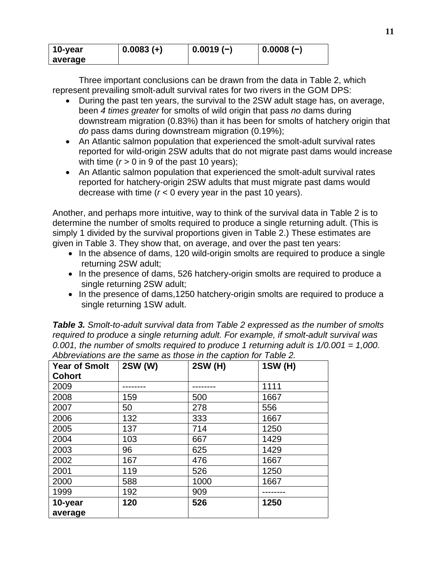| 10-year | $0.0083 (+)$ | $0.0019(-)$ | $0.0008(-)$ |
|---------|--------------|-------------|-------------|
| average |              |             |             |

Three important conclusions can be drawn from the data in Table 2, which represent prevailing smolt-adult survival rates for two rivers in the GOM DPS:

- During the past ten years, the survival to the 2SW adult stage has, on average, been *4 times greater* for smolts of wild origin that pass *no* dams during downstream migration (0.83%) than it has been for smolts of hatchery origin that *do* pass dams during downstream migration (0.19%);
- An Atlantic salmon population that experienced the smolt-adult survival rates reported for wild-origin 2SW adults that do not migrate past dams would increase with time  $(r > 0$  in 9 of the past 10 years);
- An Atlantic salmon population that experienced the smolt-adult survival rates reported for hatchery-origin 2SW adults that must migrate past dams would decrease with time (*r* < 0 every year in the past 10 years).

Another, and perhaps more intuitive, way to think of the survival data in Table 2 is to determine the number of smolts required to produce a single returning adult. (This is simply 1 divided by the survival proportions given in Table 2.) These estimates are given in Table 3. They show that, on average, and over the past ten years:

- In the absence of dams, 120 wild-origin smolts are required to produce a single returning 2SW adult;
- In the presence of dams, 526 hatchery-origin smolts are required to produce a single returning 2SW adult;
- In the presence of dams, 1250 hatchery-origin smolts are required to produce a single returning 1SW adult.

*Table 3. Smolt-to-adult survival data from Table 2 expressed as the number of smolts required to produce a single returning adult. For example, if smolt-adult survival was 0.001, the number of smolts required to produce 1 returning adult is 1/0.001 = 1,000. Abbreviations are the same as those in the caption for Table 2.*

| <b>Year of Smolt</b> | 2SW (W) | 2SW (H) | 1SW (H) |
|----------------------|---------|---------|---------|
| <b>Cohort</b>        |         |         |         |
| 2009                 |         |         | 1111    |
| 2008                 | 159     | 500     | 1667    |
| 2007                 | 50      | 278     | 556     |
| 2006                 | 132     | 333     | 1667    |
| 2005                 | 137     | 714     | 1250    |
| 2004                 | 103     | 667     | 1429    |
| 2003                 | 96      | 625     | 1429    |
| 2002                 | 167     | 476     | 1667    |
| 2001                 | 119     | 526     | 1250    |
| 2000                 | 588     | 1000    | 1667    |
| 1999                 | 192     | 909     |         |
| 10-year              | 120     | 526     | 1250    |
| average              |         |         |         |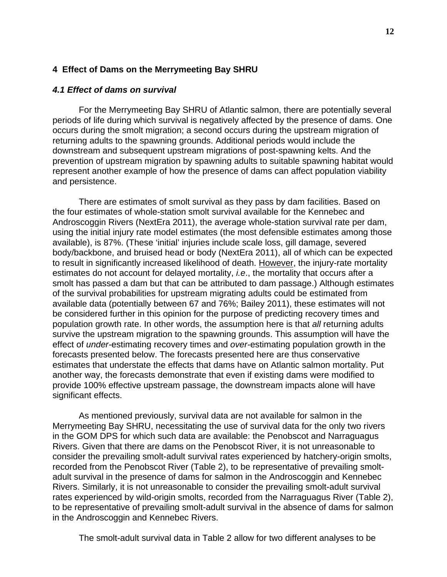## **4 Effect of Dams on the Merrymeeting Bay SHRU**

### *4.1 Effect of dams on survival*

For the Merrymeeting Bay SHRU of Atlantic salmon, there are potentially several periods of life during which survival is negatively affected by the presence of dams. One occurs during the smolt migration; a second occurs during the upstream migration of returning adults to the spawning grounds. Additional periods would include the downstream and subsequent upstream migrations of post-spawning kelts. And the prevention of upstream migration by spawning adults to suitable spawning habitat would represent another example of how the presence of dams can affect population viability and persistence.

There are estimates of smolt survival as they pass by dam facilities. Based on the four estimates of whole-station smolt survival available for the Kennebec and Androscoggin Rivers (NextEra 2011), the average whole-station survival rate per dam, using the initial injury rate model estimates (the most defensible estimates among those available), is 87%. (These 'initial' injuries include scale loss, gill damage, severed body/backbone, and bruised head or body (NextEra 2011), all of which can be expected to result in significantly increased likelihood of death. However, the injury-rate mortality estimates do not account for delayed mortality, *i.e*., the mortality that occurs after a smolt has passed a dam but that can be attributed to dam passage.) Although estimates of the survival probabilities for upstream migrating adults could be estimated from available data (potentially between 67 and 76%; Bailey 2011), these estimates will not be considered further in this opinion for the purpose of predicting recovery times and population growth rate. In other words, the assumption here is that *all* returning adults survive the upstream migration to the spawning grounds. This assumption will have the effect of *under-*estimating recovery times and *over-*estimating population growth in the forecasts presented below. The forecasts presented here are thus conservative estimates that understate the effects that dams have on Atlantic salmon mortality. Put another way, the forecasts demonstrate that even if existing dams were modified to provide 100% effective upstream passage, the downstream impacts alone will have significant effects.

As mentioned previously, survival data are not available for salmon in the Merrymeeting Bay SHRU, necessitating the use of survival data for the only two rivers in the GOM DPS for which such data are available: the Penobscot and Narraguagus Rivers. Given that there are dams on the Penobscot River, it is not unreasonable to consider the prevailing smolt-adult survival rates experienced by hatchery-origin smolts, recorded from the Penobscot River (Table 2), to be representative of prevailing smoltadult survival in the presence of dams for salmon in the Androscoggin and Kennebec Rivers. Similarly, it is not unreasonable to consider the prevailing smolt-adult survival rates experienced by wild-origin smolts, recorded from the Narraguagus River (Table 2), to be representative of prevailing smolt-adult survival in the absence of dams for salmon in the Androscoggin and Kennebec Rivers.

The smolt-adult survival data in Table 2 allow for two different analyses to be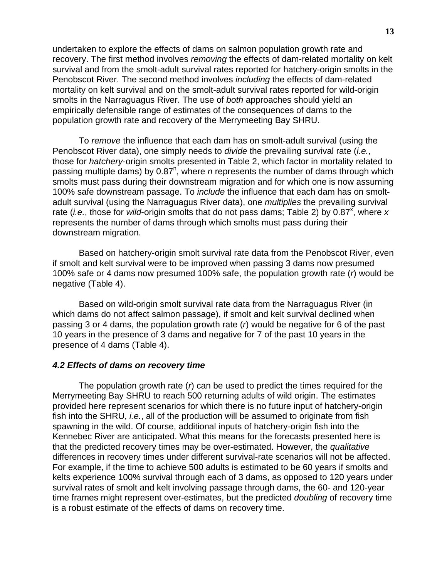undertaken to explore the effects of dams on salmon population growth rate and recovery. The first method involves *removing* the effects of dam-related mortality on kelt survival and from the smolt-adult survival rates reported for hatchery-origin smolts in the Penobscot River. The second method involves *including* the effects of dam-related mortality on kelt survival and on the smolt-adult survival rates reported for wild-origin smolts in the Narraguagus River. The use of *both* approaches should yield an empirically defensible range of estimates of the consequences of dams to the population growth rate and recovery of the Merrymeeting Bay SHRU.

To *remove* the influence that each dam has on smolt-adult survival (using the Penobscot River data), one simply needs to *divide* the prevailing survival rate (*i.e.*, those for *hatchery*-origin smolts presented in Table 2, which factor in mortality related to passing multiple dams) by 0.87<sup>n</sup>, where *n* represents the number of dams through which smolts must pass during their downstream migration and for which one is now assuming 100% safe downstream passage. To *include* the influence that each dam has on smoltadult survival (using the Narraguagus River data), one *multiplies* the prevailing survival rate (*i.e.*, those for *wild*-origin smolts that do not pass dams; Table 2) by 0.87<sup>x</sup>, where x represents the number of dams through which smolts must pass during their downstream migration.

Based on hatchery-origin smolt survival rate data from the Penobscot River, even if smolt and kelt survival were to be improved when passing 3 dams now presumed 100% safe or 4 dams now presumed 100% safe, the population growth rate (*r*) would be negative (Table 4).

Based on wild-origin smolt survival rate data from the Narraguagus River (in which dams do not affect salmon passage), if smolt and kelt survival declined when passing 3 or 4 dams, the population growth rate (*r*) would be negative for 6 of the past 10 years in the presence of 3 dams and negative for 7 of the past 10 years in the presence of 4 dams (Table 4).

### *4.2 Effects of dams on recovery time*

The population growth rate (*r*) can be used to predict the times required for the Merrymeeting Bay SHRU to reach 500 returning adults of wild origin. The estimates provided here represent scenarios for which there is no future input of hatchery-origin fish into the SHRU, *i.e.*, all of the production will be assumed to originate from fish spawning in the wild. Of course, additional inputs of hatchery-origin fish into the Kennebec River are anticipated. What this means for the forecasts presented here is that the predicted recovery times may be over-estimated. However, the *qualitative* differences in recovery times under different survival-rate scenarios will not be affected. For example, if the time to achieve 500 adults is estimated to be 60 years if smolts and kelts experience 100% survival through each of 3 dams, as opposed to 120 years under survival rates of smolt and kelt involving passage through dams, the 60- and 120-year time frames might represent over-estimates, but the predicted *doubling* of recovery time is a robust estimate of the effects of dams on recovery time.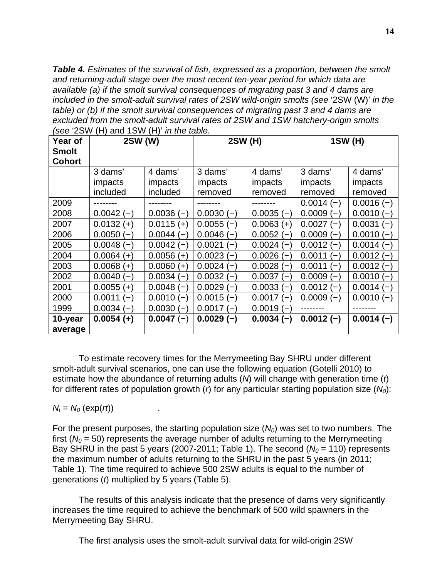*Table 4. Estimates of the survival of fish, expressed as a proportion, between the smolt and returning-adult stage over the most recent ten-year period for which data are available (a) if the smolt survival consequences of migrating past 3 and 4 dams are included in the smolt-adult survival rates of 2SW wild-origin smolts (see* '2SW (W)' *in the table) or (b) if the smolt survival consequences of migrating past 3 and 4 dams are excluded from the smolt-adult survival rates of 2SW and 1SW hatchery-origin smolts (see* '2SW (H) and 1SW (H)' *in the table.*

| Year of<br><b>Smolt</b><br><b>Cohort</b> | 2SW (W)                            |                  | 2SW (H)              |                                        | 1SW (H)            |                 |  |
|------------------------------------------|------------------------------------|------------------|----------------------|----------------------------------------|--------------------|-----------------|--|
|                                          | 3 dams'                            | 4 dams'          | 3 dams'              | 4 dams'                                | 3 dams'            | 4 dams'         |  |
|                                          | impacts                            | impacts          | impacts              | impacts                                | impacts            | impacts         |  |
|                                          | included                           | included         | removed              | removed                                | removed            | removed         |  |
| 2009                                     |                                    |                  |                      |                                        | $0.0014(-)$        | $0.0016(-$      |  |
| 2008                                     | $0.0042(-)$                        | $0.0036(-)$      | $0.0030(-)$          | $0.0035(-)$                            | $0.0009(-)$        | $0.0010(-)$     |  |
| 2007                                     | $0.0132 (+)$                       | 0.0115<br>$(+)$  | $0.0055(-)$          | 0.0063<br>$(+)$                        | 0.0027<br>$(-)$    | 0.0031<br>$(-)$ |  |
| 2006                                     | $0.0050(-)$                        | 0.0044<br>$\sim$ | $0.0046(-)$          | 0.0052<br>$-$                          | $0.0009(-)$        | $0.0010(-)$     |  |
| 2005                                     | $0.0048(-)$                        | 0.0042<br>$(-$   | 0.0021<br><u>— і</u> | $0.0024$ (<br>$\overline{\phantom{0}}$ | $0.0012(-)$        | $0.0014(-)$     |  |
| 2004                                     | $0.0064 (+)$                       | 0.0056<br>$(+)$  | $0.0023(-$           | 0.0026<br>$\overline{\phantom{0}}$     | 0.0011<br>$\equiv$ | $0.0012$ (-     |  |
| 2003                                     | $0.0068 (+)$                       | $0.0060 (+)$     | $0.0024(-$           | 0.0028<br>$(-$                         | 0.0011<br>$(-)$    | $0.0012(-$      |  |
| 2002                                     | $0.0040(-)$                        | $0.0034(-$       | 0.0032<br>$(-$       | 0.0037<br>$\overline{\phantom{0}}$     | 0.0009<br>$(-$     | $0.0010(-$      |  |
| 2001                                     | $0.0055 (+)$                       | $0.0048(-$       | $0.0029(-$           | $0.0033(-)$                            | 0.0012<br>$(-)$    | 0.0014<br>$(-)$ |  |
| 2000                                     | 0.0011<br>$\overline{\phantom{0}}$ | 0.0010<br>-      | $0.0015(-$           | 0.0017<br>$\qquad \qquad \blacksquare$ | $0.0009(-$         | 0.0010<br>$(-)$ |  |
| 1999                                     | $0.0034(-$                         | 0.0030<br>$(-$   | $0.0017(-$           | $0.0019(-)$                            |                    |                 |  |
| 10-year                                  | $0.0054 (+)$                       | $0.0047(-)$      | $0.0029(-)$          | $0.0034(-)$                            | $0.0012(-)$        | $0.0014(-)$     |  |
| average                                  |                                    |                  |                      |                                        |                    |                 |  |

To estimate recovery times for the Merrymeeting Bay SHRU under different smolt-adult survival scenarios, one can use the following equation (Gotelli 2010) to estimate how the abundance of returning adults (*N*) will change with generation time (*t*) for different rates of population growth (*r*) for any particular starting population size (*N0*):

 $N_t = N_0$  (exp(*rt*)).

For the present purposes, the starting population size  $(N<sub>0</sub>)$  was set to two numbers. The first  $(N<sub>0</sub> = 50)$  represents the average number of adults returning to the Merrymeeting Bay SHRU in the past 5 years (2007-2011; Table 1). The second  $(N_0 = 110)$  represents the maximum number of adults returning to the SHRU in the past 5 years (in 2011; Table 1). The time required to achieve 500 2SW adults is equal to the number of generations (*t*) multiplied by 5 years (Table 5).

The results of this analysis indicate that the presence of dams very significantly increases the time required to achieve the benchmark of 500 wild spawners in the Merrymeeting Bay SHRU.

The first analysis uses the smolt-adult survival data for wild-origin 2SW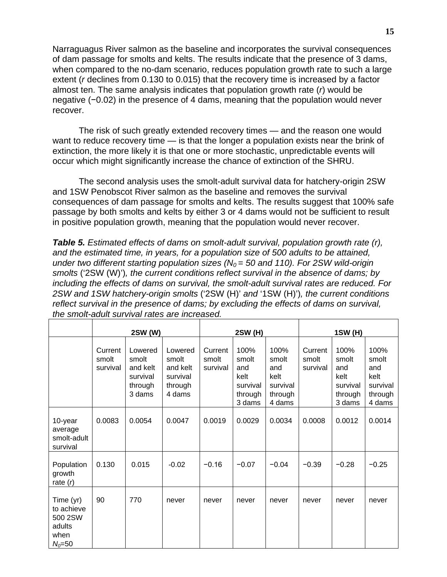Narraguagus River salmon as the baseline and incorporates the survival consequences of dam passage for smolts and kelts. The results indicate that the presence of 3 dams, when compared to the no-dam scenario, reduces population growth rate to such a large extent (*r* declines from 0.130 to 0.015) that the recovery time is increased by a factor almost ten. The same analysis indicates that population growth rate (*r*) would be negative (-0.02) in the presence of 4 dams, meaning that the population would never recover.

The risk of such greatly extended recovery times — and the reason one would want to reduce recovery time — is that the longer a population exists near the brink of extinction, the more likely it is that one or more stochastic, unpredictable events will occur which might significantly increase the chance of extinction of the SHRU.

The second analysis uses the smolt-adult survival data for hatchery-origin 2SW and 1SW Penobscot River salmon as the baseline and removes the survival consequences of dam passage for smolts and kelts. The results suggest that 100% safe passage by both smolts and kelts by either 3 or 4 dams would not be sufficient to result in positive population growth, meaning that the population would never recover.

*Table 5. Estimated effects of dams on smolt-adult survival, population growth rate (r), and the estimated time, in years, for a population size of 500 adults to be attained, under two different starting population sizes (* $N_0 = 50$  *and 110). For 2SW wild-origin smolts* ('2SW (W)')*, the current conditions reflect survival in the absence of dams; by including the effects of dams on survival, the smolt-adult survival rates are reduced. For 2SW and 1SW hatchery-origin smolts* ('2SW (H)' *and* '1SW (H)')*, the current conditions reflect survival in the presence of dams; by excluding the effects of dams on survival, the smolt-adult survival rates are increased.*

|                                                                    | 2SW (W)                      |                                                               |                                                               |                              | <b>2SW (H)</b>                                                |                                                               | 1SW (H)                      |                                                               |                                                               |
|--------------------------------------------------------------------|------------------------------|---------------------------------------------------------------|---------------------------------------------------------------|------------------------------|---------------------------------------------------------------|---------------------------------------------------------------|------------------------------|---------------------------------------------------------------|---------------------------------------------------------------|
|                                                                    | Current<br>smolt<br>survival | Lowered<br>smolt<br>and kelt<br>survival<br>through<br>3 dams | Lowered<br>smolt<br>and kelt<br>survival<br>through<br>4 dams | Current<br>smolt<br>survival | 100%<br>smolt<br>and<br>kelt<br>survival<br>through<br>3 dams | 100%<br>smolt<br>and<br>kelt<br>survival<br>through<br>4 dams | Current<br>smolt<br>survival | 100%<br>smolt<br>and<br>kelt<br>survival<br>through<br>3 dams | 100%<br>smolt<br>and<br>kelt<br>survival<br>through<br>4 dams |
| 10-year<br>average<br>smolt-adult<br>survival                      | 0.0083                       | 0.0054                                                        | 0.0047                                                        | 0.0019                       | 0.0029                                                        | 0.0034                                                        | 0.0008                       | 0.0012                                                        | 0.0014                                                        |
| Population<br>growth<br>rate $(r)$                                 | 0.130                        | 0.015                                                         | $-0.02$                                                       | $-0.16$                      | $-0.07$                                                       | $-0.04$                                                       | $-0.39$                      | $-0.28$                                                       | $-0.25$                                                       |
| Time (yr)<br>to achieve<br>500 2SW<br>adults<br>when<br>$N_0 = 50$ | 90                           | 770                                                           | never                                                         | never                        | never                                                         | never                                                         | never                        | never                                                         | never                                                         |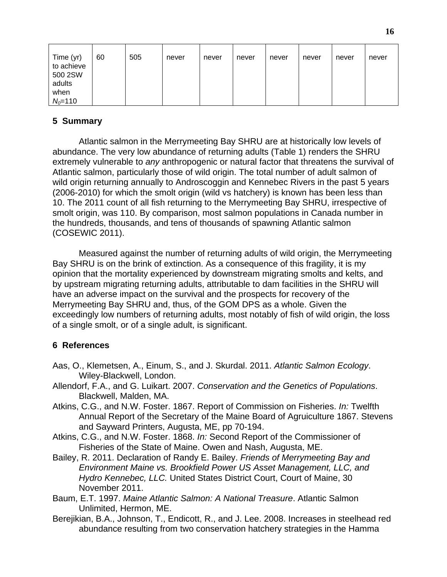| Time (yr)<br>to achieve<br>500 2SW<br>adults | 60 | 505 | never | never | never | never | never | never | never |
|----------------------------------------------|----|-----|-------|-------|-------|-------|-------|-------|-------|
| when                                         |    |     |       |       |       |       |       |       |       |
| $N_0 = 110$                                  |    |     |       |       |       |       |       |       |       |

# **5 Summary**

Atlantic salmon in the Merrymeeting Bay SHRU are at historically low levels of abundance. The very low abundance of returning adults (Table 1) renders the SHRU extremely vulnerable to *any* anthropogenic or natural factor that threatens the survival of Atlantic salmon, particularly those of wild origin. The total number of adult salmon of wild origin returning annually to Androscoggin and Kennebec Rivers in the past 5 years (2006-2010) for which the smolt origin (wild vs hatchery) is known has been less than 10. The 2011 count of all fish returning to the Merrymeeting Bay SHRU, irrespective of smolt origin, was 110. By comparison, most salmon populations in Canada number in the hundreds, thousands, and tens of thousands of spawning Atlantic salmon (COSEWIC 2011).

Measured against the number of returning adults of wild origin, the Merrymeeting Bay SHRU is on the brink of extinction. As a consequence of this fragility, it is my opinion that the mortality experienced by downstream migrating smolts and kelts, and by upstream migrating returning adults, attributable to dam facilities in the SHRU will have an adverse impact on the survival and the prospects for recovery of the Merrymeeting Bay SHRU and, thus, of the GOM DPS as a whole. Given the exceedingly low numbers of returning adults, most notably of fish of wild origin, the loss of a single smolt, or of a single adult, is significant.

## **6 References**

- Aas, O., Klemetsen, A., Einum, S., and J. Skurdal. 2011. *Atlantic Salmon Ecology*. Wiley-Blackwell, London.
- Allendorf, F.A., and G. Luikart. 2007. *Conservation and the Genetics of Populations*. Blackwell, Malden, MA.
- Atkins, C.G., and N.W. Foster. 1867. Report of Commission on Fisheries. *In:* Twelfth Annual Report of the Secretary of the Maine Board of Agruiculture 1867. Stevens and Sayward Printers, Augusta, ME, pp 70-194.
- Atkins, C.G., and N.W. Foster. 1868. *In:* Second Report of the Commissioner of Fisheries of the State of Maine. Owen and Nash, Augusta, ME.
- Bailey, R. 2011. Declaration of Randy E. Bailey. *Friends of Merrymeeting Bay and Environment Maine vs. Brookfield Power US Asset Management, LLC, and Hydro Kennebec, LLC.* United States District Court, Court of Maine, 30 November 2011.
- Baum, E.T. 1997. *Maine Atlantic Salmon: A National Treasure*. Atlantic Salmon Unlimited, Hermon, ME.
- Berejikian, B.A., Johnson, T., Endicott, R., and J. Lee. 2008. Increases in steelhead red abundance resulting from two conservation hatchery strategies in the Hamma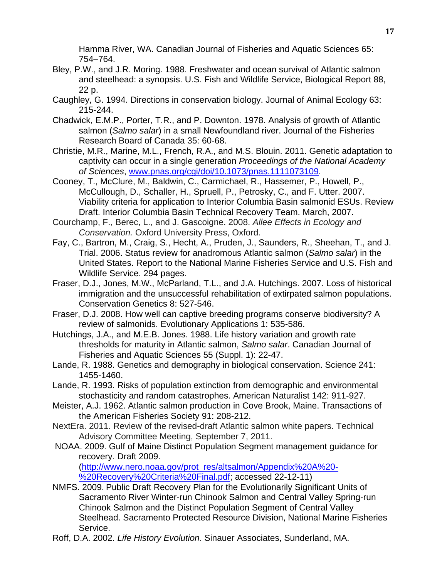Hamma River, WA. Canadian Journal of Fisheries and Aquatic Sciences 65: 754–764.

- Bley, P.W., and J.R. Moring. 1988. Freshwater and ocean survival of Atlantic salmon and steelhead: a synopsis. U.S. Fish and Wildlife Service, Biological Report 88, 22 p.
- Caughley, G. 1994. Directions in conservation biology. Journal of Animal Ecology 63: 215-244.
- Chadwick, E.M.P., Porter, T.R., and P. Downton. 1978. Analysis of growth of Atlantic salmon (*Salmo salar*) in a small Newfoundland river. Journal of the Fisheries Research Board of Canada 35: 60-68.
- Christie, M.R., Marine, M.L., French, R.A., and M.S. Blouin. 2011. Genetic adaptation to captivity can occur in a single generation *Proceedings of the National Academy of Sciences*, [www.pnas.org/cgi/doi/10.1073/pnas.1111073109.](http://www.pnas.org/cgi/doi/10.1073/pnas.1111073109)
- Cooney, T., McClure, M., Baldwin, C., Carmichael, R., Hassemer, P., Howell, P., McCullough, D., Schaller, H., Spruell, P., Petrosky, C., and F. Utter. 2007. Viability criteria for application to Interior Columbia Basin salmonid ESUs. Review Draft. Interior Columbia Basin Technical Recovery Team. March, 2007.
- Courchamp, F., Berec, L., and J. Gascoigne. 2008. *Allee Effects in Ecology and Conservation.* Oxford University Press, Oxford.
- Fay, C., Bartron, M., Craig, S., Hecht, A., Pruden, J., Saunders, R., Sheehan, T., and J. Trial. 2006. Status review for anadromous Atlantic salmon (*Salmo salar*) in the United States. Report to the National Marine Fisheries Service and U.S. Fish and Wildlife Service. 294 pages.
- Fraser, D.J., Jones, M.W., McParland, T.L., and J.A. Hutchings. 2007. Loss of historical immigration and the unsuccessful rehabilitation of extirpated salmon populations. Conservation Genetics 8: 527-546.
- Fraser, D.J. 2008. How well can captive breeding programs conserve biodiversity? A review of salmonids. Evolutionary Applications 1: 535-586.
- Hutchings, J.A., and M.E.B. Jones. 1988. Life history variation and growth rate thresholds for maturity in Atlantic salmon, *Salmo salar*. Canadian Journal of Fisheries and Aquatic Sciences 55 (Suppl. 1): 22-47.
- Lande, R. 1988. Genetics and demography in biological conservation. Science 241: 1455-1460.
- Lande, R. 1993. Risks of population extinction from demographic and environmental stochasticity and random catastrophes. American Naturalist 142: 911-927.
- Meister, A.J. 1962. Atlantic salmon production in Cove Brook, Maine. Transactions of the American Fisheries Society 91: 208-212.
- NextEra. 2011. Review of the revised-draft Atlantic salmon white papers. Technical Advisory Committee Meeting, September 7, 2011.
- NOAA. 2009. Gulf of Maine Distinct Population Segment management guidance for recovery. Draft 2009.

[\(http://www.nero.noaa.gov/prot\\_res/altsalmon/Appendix%20A%20-](http://www.nero.noaa.gov/prot_res/altsalmon/Appendix%20A%20-%20Recovery%20Criteria%20Final.pdf) [%20Recovery%20Criteria%20Final.pdf;](http://www.nero.noaa.gov/prot_res/altsalmon/Appendix%20A%20-%20Recovery%20Criteria%20Final.pdf) accessed 22-12-11)

- NMFS. 2009. Public Draft Recovery Plan for the Evolutionarily Significant Units of Sacramento River Winter‐run Chinook Salmon and Central Valley Spring‐run Chinook Salmon and the Distinct Population Segment of Central Valley Steelhead. Sacramento Protected Resource Division, National Marine Fisheries Service.
- Roff, D.A. 2002. *Life History Evolution*. Sinauer Associates, Sunderland, MA.